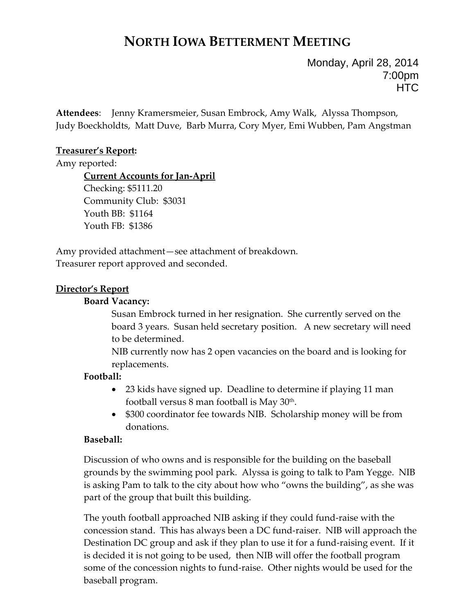# **NORTH IOWA BETTERMENT MEETING**

Monday, April 28, 2014 7:00pm **HTC** 

**Attendees**: Jenny Kramersmeier, Susan Embrock, Amy Walk, Alyssa Thompson, Judy Boeckholdts, Matt Duve, Barb Murra, Cory Myer, Emi Wubben, Pam Angstman

## **Treasurer's Report:**

Amy reported:

**Current Accounts for Jan‐April** Checking: \$5111.20 Community Club: \$3031 Youth BB: \$1164 Youth FB: \$1386

Amy provided attachment—see attachment of breakdown. Treasurer report approved and seconded.

# **Director's Report**

### **Board Vacancy:**

Susan Embrock turned in her resignation. She currently served on the board 3 years. Susan held secretary position. A new secretary will need to be determined.

NIB currently now has 2 open vacancies on the board and is looking for replacements.

# **Football:**

- 23 kids have signed up. Deadline to determine if playing 11 man football versus  $8$  man football is May  $30<sup>th</sup>$ .
- \$300 coordinator fee towards NIB. Scholarship money will be from donations.

# **Baseball:**

Discussion of who owns and is responsible for the building on the baseball grounds by the swimming pool park. Alyssa is going to talk to Pam Yegge. NIB is asking Pam to talk to the city about how who "owns the building", as she was part of the group that built this building.

The youth football approached NIB asking if they could fund‐raise with the concession stand. This has always been a DC fund‐raiser. NIB will approach the Destination DC group and ask if they plan to use it for a fund-raising event. If it is decided it is not going to be used, then NIB will offer the football program some of the concession nights to fund‐raise. Other nights would be used for the baseball program.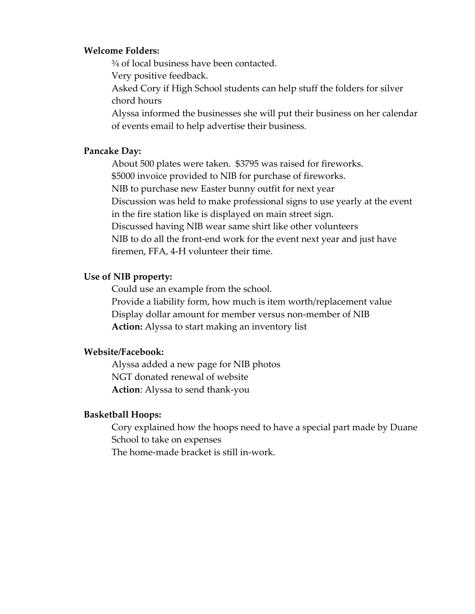#### **Welcome Folders:**

¾ of local business have been contacted.

Very positive feedback.

Asked Cory if High School students can help stuff the folders for silver chord hours

Alyssa informed the businesses she will put their business on her calendar of events email to help advertise their business.

### **Pancake Day:**

About 500 plates were taken. \$3795 was raised for fireworks. \$5000 invoice provided to NIB for purchase of fireworks. NIB to purchase new Easter bunny outfit for next year Discussion was held to make professional signs to use yearly at the event in the fire station like is displayed on main street sign. Discussed having NIB wear same shirt like other volunteers NIB to do all the front-end work for the event next year and just have firemen, FFA, 4‐H volunteer their time.

#### **Use of NIB property:**

 Could use an example from the school. Provide a liability form, how much is item worth/replacement value Display dollar amount for member versus non‐member of NIB **Action:** Alyssa to start making an inventory list

#### **Website/Facebook:**

Alyssa added a new page for NIB photos NGT donated renewal of website **Action**: Alyssa to send thank‐you

#### **Basketball Hoops:**

Cory explained how the hoops need to have a special part made by Duane School to take on expenses

The home‐made bracket is still in‐work.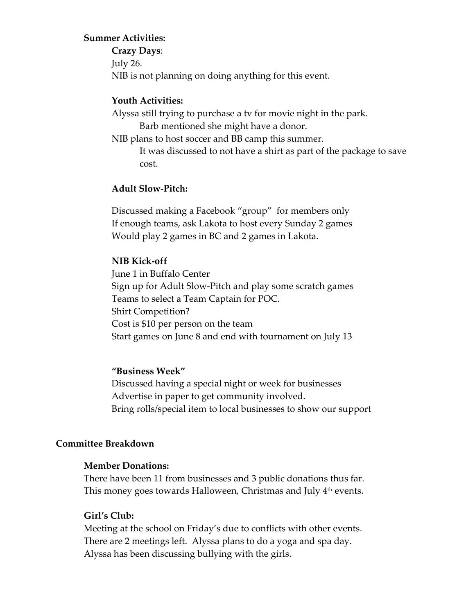#### **Summer Activities:**

**Crazy Days**: July 26. NIB is not planning on doing anything for this event.

#### **Youth Activities:**

Alyssa still trying to purchase a tv for movie night in the park. Barb mentioned she might have a donor.

NIB plans to host soccer and BB camp this summer.

It was discussed to not have a shirt as part of the package to save cost.

#### **Adult Slow‐Pitch:**

 Discussed making a Facebook "group" for members only If enough teams, ask Lakota to host every Sunday 2 games Would play 2 games in BC and 2 games in Lakota.

#### **NIB Kick‐off**

 June 1 in Buffalo Center Sign up for Adult Slow‐Pitch and play some scratch games Teams to select a Team Captain for POC. Shirt Competition? Cost is \$10 per person on the team Start games on June 8 and end with tournament on July 13

#### **"Business Week"**

 Discussed having a special night or week for businesses Advertise in paper to get community involved. Bring rolls/special item to local businesses to show our support

#### **Committee Breakdown**

#### **Member Donations:**

There have been 11 from businesses and 3 public donations thus far. This money goes towards Halloween, Christmas and July 4<sup>th</sup> events.

#### **Girl's Club:**

Meeting at the school on Friday's due to conflicts with other events. There are 2 meetings left. Alyssa plans to do a yoga and spa day. Alyssa has been discussing bullying with the girls.